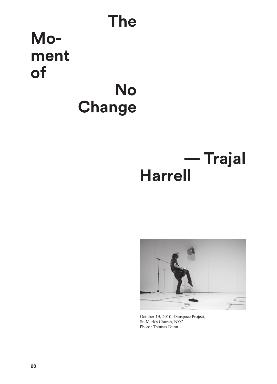## **The** Moment of

## **Change**

**No** 

## - Trajal **Harrell**



October 19, 2010, Danspace Project, St. Mark's Church, NYC Photo: Thomas Dunn